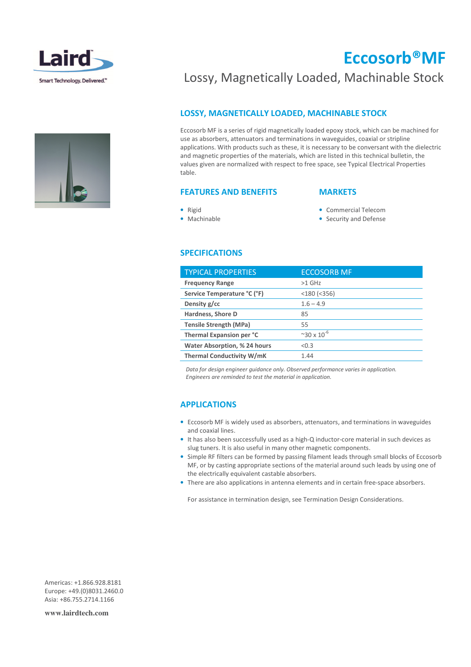



## Eccosorb®MF

## Lossy, Magnetically Loaded, Machinable Stock

## LOSSY, MAGNETICALLY LOADED, MACHINABLE STOCK

Eccosorb MF is a series of rigid magnetically loaded epoxy stock, which can be machined for use as absorbers, attenuators and terminations in waveguides, coaxial or stripline applications. With products such as these, it is necessary to be conversant with the dielectric and magnetic properties of the materials, which are listed in this technical bulletin, the values given are normalized with respect to free space, see Typical Electrical Properties table.

## FEATURES AND BENEFITS

#### **MARKETS**

- Rigid
- Machinable
- Commercial Telecom
- Security and Defense

#### SPECIFICATIONS

| <b>TYPICAL PROPERTIES</b>           | <b>ECCOSORB MF</b>   |
|-------------------------------------|----------------------|
| <b>Frequency Range</b>              | $>1$ GHz             |
| Service Temperature °C (°F)         | $<$ 180 ( $<$ 356)   |
| Density g/cc                        | $1.6 - 4.9$          |
| Hardness, Shore D                   | 85                   |
| <b>Tensile Strength (MPa)</b>       | 55                   |
| Thermal Expansion per °C            | $~20 \times 10^{-6}$ |
| <b>Water Absorption, % 24 hours</b> | < 0.3                |
| <b>Thermal Conductivity W/mK</b>    | 1.44                 |
|                                     |                      |

 Data for design engineer guidance only. Observed performance varies in application. Engineers are reminded to test the material in application.

### APPLICATIONS

- Eccosorb MF is widely used as absorbers, attenuators, and terminations in waveguides and coaxial lines.
- It has also been successfully used as a high-Q inductor-core material in such devices as slug tuners. It is also useful in many other magnetic components.
- Simple RF filters can be formed by passing filament leads through small blocks of Eccosorb MF, or by casting appropriate sections of the material around such leads by using one of the electrically equivalent castable absorbers.
- There are also applications in antenna elements and in certain free-space absorbers.

For assistance in termination design, see Termination Design Considerations.

Americas: +1.866.928.8181 Europe: +49.(0)8031.2460.0 Asia: +86.755.2714.1166

**www.lairdtech.com**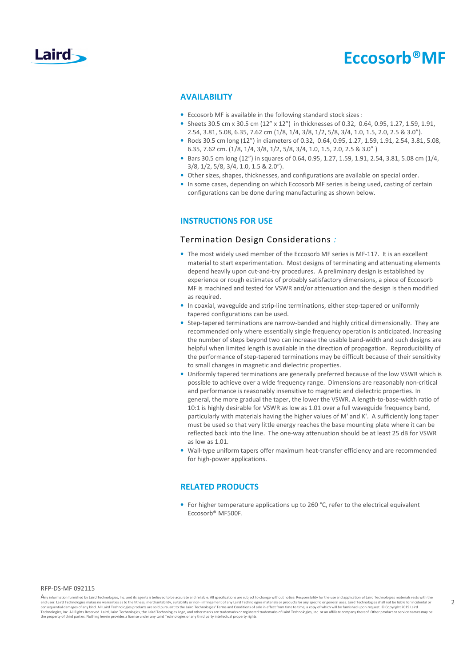

## Eccosorb®MF

#### AVAILABILITY

- Eccosorb MF is available in the following standard stock sizes :
- Sheets 30.5 cm x 30.5 cm (12" x 12") in thicknesses of 0.32, 0.64, 0.95, 1.27, 1.59, 1.91, 2.54, 3.81, 5.08, 6.35, 7.62 cm (1/8, 1/4, 3/8, 1/2, 5/8, 3/4, 1.0, 1.5, 2.0, 2.5 & 3.0").
- Rods 30.5 cm long (12") in diameters of 0.32, 0.64, 0.95, 1.27, 1.59, 1.91, 2.54, 3.81, 5.08, 6.35, 7.62 cm. (1/8, 1/4, 3/8, 1/2, 5/8, 3/4, 1.0, 1.5, 2.0, 2.5 & 3.0" )
- Bars 30.5 cm long (12") in squares of 0.64, 0.95, 1.27, 1.59, 1.91, 2.54, 3.81, 5.08 cm (1/4, 3/8, 1/2, 5/8, 3/4, 1.0, 1.5 & 2.0").
- Other sizes, shapes, thicknesses, and configurations are available on special order.
- In some cases, depending on which Eccosorb MF series is being used, casting of certain configurations can be done during manufacturing as shown below.

### INSTRUCTIONS FOR USE

#### Termination Design Considerations :

- The most widely used member of the Eccosorb MF series is MF-117. It is an excellent material to start experimentation. Most designs of terminating and attenuating elements depend heavily upon cut-and-try procedures. A preliminary design is established by experience or rough estimates of probably satisfactory dimensions, a piece of Eccosorb MF is machined and tested for VSWR and/or attenuation and the design is then modified as required.
- In coaxial, waveguide and strip-line terminations, either step-tapered or uniformly tapered configurations can be used.
- Step-tapered terminations are narrow-banded and highly critical dimensionally. They are recommended only where essentially single frequency operation is anticipated. Increasing the number of steps beyond two can increase the usable band-width and such designs are helpful when limited length is available in the direction of propagation. Reproducibility of the performance of step-tapered terminations may be difficult because of their sensitivity to small changes in magnetic and dielectric properties.
- Uniformly tapered terminations are generally preferred because of the low VSWR which is possible to achieve over a wide frequency range. Dimensions are reasonably non-critical and performance is reasonably insensitive to magnetic and dielectric properties. In general, the more gradual the taper, the lower the VSWR. A length-to-base-width ratio of 10:1 is highly desirable for VSWR as low as 1.01 over a full waveguide frequency band, particularly with materials having the higher values of M' and K'. A sufficiently long taper must be used so that very little energy reaches the base mounting plate where it can be reflected back into the line. The one-way attenuation should be at least 25 dB for VSWR as low as 1.01.
- Wall-type uniform tapers offer maximum heat-transfer efficiency and are recommended for high-power applications.

#### RELATED PRODUCTS

• For higher temperature applications up to 260 °C, refer to the electrical equivalent Eccosorb® MF500F.

#### RFP-DS-MF 092115

Any information furnished by Laird Technologies, Inc. and its agents is believed to be accurate and reliable. All specifications are subject to change without notice. Responsibility for the use and application of Laird Tec end user. Laird Technologies makes no warranties as to the fitness, merchantability, suitability or non- infringement of any Laird Technologies materials or products for any yaecific or general uses. Laird Technologies sha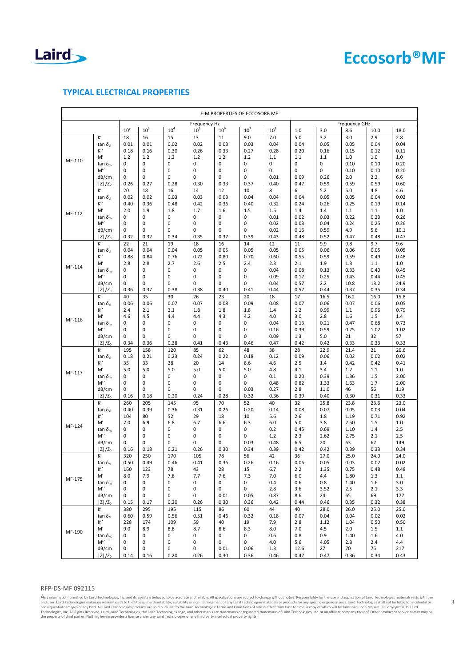

## TYPICAL ELECTRICAL PROPERTIES

| E-M PROPERTIES OF ECCOSORB MF |                    |                  |                 |                      |              |                 |                    |             |             |             |              |             |             |
|-------------------------------|--------------------|------------------|-----------------|----------------------|--------------|-----------------|--------------------|-------------|-------------|-------------|--------------|-------------|-------------|
| Frequency Hz                  |                    |                  |                 | <b>Frequency GHz</b> |              |                 |                    |             |             |             |              |             |             |
|                               |                    | 10 <sup>2</sup>  | 10 <sup>3</sup> | 10 <sup>4</sup>      | $10^{\circ}$ | 10 <sup>6</sup> | 10'                | $10^8$      | 1.0         | 3.0         | 8.6          | 10.0        | 18.0        |
| MF-110                        | K,                 | 18               | 16              | 15                   | 13           | 11              | 9.0                | 7.0         | 5.0         | 3.2         | 3.0          | 2.9         | 2.8         |
|                               | tan δ <sub>d</sub> | 0.01             | 0.01            | 0.02                 | 0.02         | 0.03            | 0.03               | 0.04        | 0.04        | 0.05        | 0.05         | 0.04        | 0.04        |
|                               | к"                 | 0.18             | 0.16            | 0.30                 | 0.26         | 0.33            | 0.27               | 0.28        | 0.20        | 0.16        | 0.15         | 0.12        | 0.11        |
|                               | M'                 | 1.2              | 1.2             | 1.2                  | 1.2          | 1.2             | 1.2                | 1.1         | 1.1         | 1.1         | 1.0          | 1.0         | 1.0         |
|                               | tan δ <sub>m</sub> | 0                | 0               | 0                    | 0            | 0               | 0                  | 0           | 0           | $\mathbf 0$ | 0.10         | 0.10        | 0.20        |
|                               | M"                 | $\mathbf 0$      | 0               | $\pmb{0}$            | 0            | 0               | $\mathbf 0$        | 0           | 0           | $\mathbf 0$ | 0.10         | 0.10        | 0.20        |
|                               | dB/cm              | 0                | 0               | 0                    | 0            | 0               | 0                  | 0.01        | 0.09        | 0.26        | 2.0          | 2.2         | 6.6         |
|                               | $ Z /Z_0$          | 0.26             | 0.27            | 0.28                 | 0.30         | 0.33            | 0.37               | 0.40        | 0.47        | 0.59        | 0.59         | 0.59        | 0.60        |
|                               | K'                 | 20               | 18              | 16                   | 14           | 12              | 10                 | 8           | 6           | 5.2         | 5.0          | 4.8         | 4.6         |
|                               | tan δ <sub>α</sub> | 0.02             | 0.02            | 0.03                 | 0.03         | 0.03            | 0.04               | 0.04        | 0.04        | 0.05        | 0.05         | 0.04        | 0.03        |
|                               | K''                | 0.40             | 0.36            | 0.48                 | 0.42         | 0.36            | 0.40               | 0.32        | 0.24        | 0.26        | 0.25         | 0.19        | 0.14        |
| MF-112                        | M'                 | 2.0              | 1.9             | 1.8                  | 1.7          | 1.6             | 1.5                | 1.5         | 1.4         | 1.4         | 1.1          | 1.1         | 1.0         |
|                               | tan δ <sub>m</sub> | 0                | 0               | 0                    | 0            | 0               | 0                  | 0.01        | 0.02        | 0.03        | 0.22         | 0.23        | 0.26        |
|                               | M"                 | 0                | 0               | 0                    | 0            | 0               | 0                  | 0.02        | 0.03        | 0.04        | 0.24         | 0.25        | 0.26        |
|                               | dB/cm              | 0                | 0               | 0                    | $\mathbf 0$  | 0               | $\mathbf 0$        | 0.02        | 0.16        | 0.59        | 4.9          | 5.6         | 10.1        |
|                               | $ Z /Z_0$          | 0.32             | 0.32            | 0.34                 | 0.35         | 0.37            | 0.39               | 0.43        | 0.48        | 0.52        | 0.47         | 0.48        | 0.47        |
|                               | K'                 | 22               | 21              | 19                   | 18           | 16              | 14                 | 12          | 11          | 9.9         | 9.8          | 9.7         | 9.6         |
|                               | tan δ <sub>d</sub> | 0.04             | 0.04            | 0.04                 | 0.05         | 0.05            | 0.05               | 0.05        | 0.05        | 0.06        | 0.06         | 0.05        | 0.05        |
|                               | K''                | 0.88             | 0.84            | 0.76                 | 0.72         | 0.80            | 0.70               | 0.60        | 0.55        | 0.59        | 0.59         | 0.49        | 0.48        |
| MF-114                        | M'                 | 2.8              | 2.8             | 2.7                  | 2.6          | 2.5             | 2.4                | 2.3         | 2.1         | 1.9         | 1.3          | 1.1         | 1.0         |
|                               | tan δ <sub>m</sub> | $\mathbf 0$      | 0               | 0                    | 0            | 0               | 0                  | 0.04        | 0.08        | 0.13        | 0.33         | 0.40        | 0.45        |
|                               | M"                 | $\mathbf 0$      | 0               | 0                    | 0            | 0               | 0                  | 0.09        | 0.17        | 0.25        | 0.43         | 0.44        | 0.45        |
|                               | dB/cm              | 0                | 0               | 0                    | 0            | 0               | 0                  | 0.04        | 0.57        | 2.2         | 10.8         | 13.2        | 24.9        |
|                               | $ Z /Z_0$          | 0.36             | 0.37            | 0.38                 | 0.38         | 0.40            | 0.41               | 0.44        | 0.57        | 0.44        | 0.37         | 0.35        | 0.34        |
|                               | K'                 | 40               | 35              | 30                   | 26           | 23              | 20                 | 18          | 17          | 16.5        | 16.2         | 16.0        | 15.8        |
|                               | tan δ <sub>d</sub> | 0.06             | 0.06            | 0.07                 | 0.07         | 0.08            | 0.09               | 0.08        | 0.07        | 0.06        | 0.07         | 0.06        | 0.05        |
|                               | K''                | 2.4              | 2.1             | 2.1                  | 1.8          | 1.8             | 1.8                | 1.4         | 1.2         | 0.99        | 1.1          | 0.96        | 0.79        |
| MF-116                        | M                  | 4.6              | 4.5<br>0        | 4.4<br>0             | 4.4<br>0     | 4.3<br>0        | 4.2<br>$\mathbf 0$ | 4.0<br>0.04 | 3.0<br>0.13 | 2.8<br>0.21 | 1.6          | 1.5<br>0.68 | 1.4<br>0.73 |
|                               | tan δ $m$<br>M"    | 0<br>$\mathbf 0$ | 0               | 0                    | 0            | 0               | $\mathbf 0$        | 0.16        | 0.39        | 0.59        | 0.47<br>0.75 | 1.02        | 1.02        |
|                               | dB/cm              | 0                | 0               | 0                    | 0            | 0               | 0                  | 0.09        |             | 5.0         | 21           | 32          | 57          |
|                               | $ Z /Z_0$          | 0.34             | 0.36            | 0.38                 | 0.41         | 0.43            | 0.46               | 0.47        | 1.3<br>0.42 | 0.42        | 0.33         | 0.33        | 0.33        |
|                               | K,                 | 195              | 158             | 120                  | 85           | 62              | 48                 | 38          | 28          | 22.9        | 21.4         | 21          | 20.6        |
|                               | tan δ <sub>d</sub> | 0.18             | 0.21            | 0.23                 | 0.24         | 0.22            | 0.18               | 0.12        | 0.09        | 0.06        | 0.02         | 0.02        | 0.02        |
|                               | K''                | 35               | 33              | 28                   | 20           | 14              | 8.6                | 4.6         | 2.5         | 1.4         | 0.42         | 0.42        | 0.41        |
|                               | M'                 | 5.0              | 5.0             | 5.0                  | 5.0          | 5.0             | 5.0                | 4.8         | 4.1         | 3.4         | 1.2          | 1.1         | 1.0         |
| MF-117                        | tan δ $m$          | 0                | 0               | 0                    | 0            | 0               | 0                  | 0.1         | 0.20        | 0.39        | 1.36         | 1.5         | 2.00        |
|                               | M"                 | 0                | 0               | 0                    | 0            | 0               | 0                  | 0.48        | 0.82        | 1.33        | 1.63         | 1.7         | 2.00        |
|                               | dB/cm              | 0                | 0               | $\mathbf 0$          | $\mathbf 0$  | 0               | 0.03               | 0.27        | 2.8         | 11.0        | 46           | 56          | 119         |
|                               | $ Z /Z_0$          | 0.16             | 0.18            | 0.20                 | 0.24         | 0.28            | 0.32               | 0.36        | 0.39        | 0.40        | 0.30         | 0.31        | 0.33        |
|                               | K,                 | 260              | 205             | 145                  | 95           | 70              | 52                 | 40          | 32          | 25.8        | 23.8         | 23.6        | 23.0        |
|                               | tan δ <sub>d</sub> | 0.40             | 0.39            | 0.36                 | 0.31         | 0.26            | 0.20               | 0.14        | 0.08        | 0.07        | 0.05         | 0.03        | 0.04        |
|                               | K''                | 104              | 80              | 52                   | 29           | 18              | 10                 | 5.6         | 2.6         | 1.8         | 1.19         | 0.71        | 0.92        |
|                               | M'                 | 7.0              | 6.9             | 6.8                  | 6.7          | 6.6             | 6.3                | 6.0         | 5.0         | 3.8         | 2.50         | 1.5         | 1.0         |
| MF-124                        | tan δ <sub>m</sub> | 0                | 0               | 0                    | 0            | 0               | 0                  | 0.2         | 0.45        | 0.69        | 1.10         | 1.4         | 2.5         |
|                               | M"                 | 0                | 0               | 0                    | 0            | 0               | 0                  | 1.2         | 2.3         | 2.62        | 2.75         | 2.1         | 2.5         |
|                               | dB/cm              | 0                | 0               | 0                    | 0            | 0               | 0.03               | 0.48        | 6.5         | 20          | 63           | 67          | 149         |
|                               | $ Z /Z_0$          | 0.16             | 0.18            | 0.21                 | 0.26         | 0.30            | 0.34               | 0.39        | 0.42        | 0.42        | 0.39         | 0.33        | 0.34        |
|                               | K,                 | 320              | 250             | 170                  | 105          | 78              | 56                 | 42          | 36          | 27.0        | 25.0         | 24.0        | 24.0        |
|                               | tan δ <sub>d</sub> | 0.50             | 0.49            | 0.46                 | 0.41         | 0.36            | 0.26               | 0.16        | 0.06        | 0.05        | 0.03         | 0.02        | 0.02        |
| MF-175                        | к"                 | 160              | 123             | 78                   | 43           | 28              | 15                 | 6.7         | 2.2         | 1.35        | 0.75         | 0.48        | 0.48        |
|                               | M′                 | 8.0              | 7.9             | 7.8                  | 7.7          | 7.6             | 7.3                | 7.0         | 6.0         | 4.4         | 1.80         | 1.3         | 1.1         |
|                               | tan δ <sub>m</sub> | 0                | 0               | 0                    | 0            | 0               | 0                  | 0.4         | 0.6         | 0.8         | 1.40         | 1.6         | 3.0         |
|                               | M''                | 0                | 0               | 0                    | 0            | 0               | 0                  | 2.8         | 3.6         | 3.52        | 2.5          | 2.1         | 3.3         |
|                               | dB/cm              | 0                | 0               | 0                    | 0            | 0.01            | 0.05               | 0.87        | 8.6         | 24          | 65           | 69          | 177         |
|                               | $ Z /Z_0$          | 0.15             | 0.17            | 0.20                 | 0.26         | 0.30            | 0.36               | 0.42        | 0.44        | 0.46        | 0.35         | 0.32        | 0.38        |
| MF-190                        | K,                 | 380              | 295             | 195                  | 115          | 86              | 60                 | 44          | 40          | 28.0        | 26.0         | 25.0        | 25.0        |
|                               | tan δ $_4$         | 0.60             | 0.59            | 0.56                 | 0.51         | 0.46            | 0.32               | 0.18        | 0.07        | 0.04        | 0.04         | 0.02        | 0.02        |
|                               | К"                 | 228              | 174             | 109                  | 59           | 40              | 19                 | 7.9         | 2.8         | 1.12        | 1.04         | 0.50        | 0.50        |
|                               | M'                 | 9.0              | 8.9             | 8.8                  | 8.7          | 8.6             | 8.3                | 8.0         | 7.0         | 4.5         | 2.0          | 1.5         | 1.1         |
|                               | tan δ <sub>m</sub> | 0                | 0               | 0                    | 0            | 0               | 0                  | 0.6         | 0.8         | 0.9         | 1.40         | 1.6         | 4.0         |
|                               | $M^{\prime\prime}$ | 0                | 0               | $\pmb{0}$            | 0            | 0               | 0                  | 4.0         | 5.6         | 4.05        | 2.8          | 2.4         | 4.4         |
|                               | dB/cm              | 0                | 0               | 0                    | 0            | 0.01            | 0.06               | 1.3         | 12.6        | 27          | 70           | 75          | 217         |
|                               | $ Z /Z_0$          | 0.14             | 0.16            | 0.20                 | 0.26         | 0.30            | 0.36               | 0.46        | 0.47        | 0.47        | 0.36         | 0.34        | 0.43        |

#### RFP-DS-MF 092115

Any information furnished by Laird Technologies, Inc. and its agents is believed to be accurate and reliable. All specifications are subject to change without notice. Responsibility for the use and application of Laird Te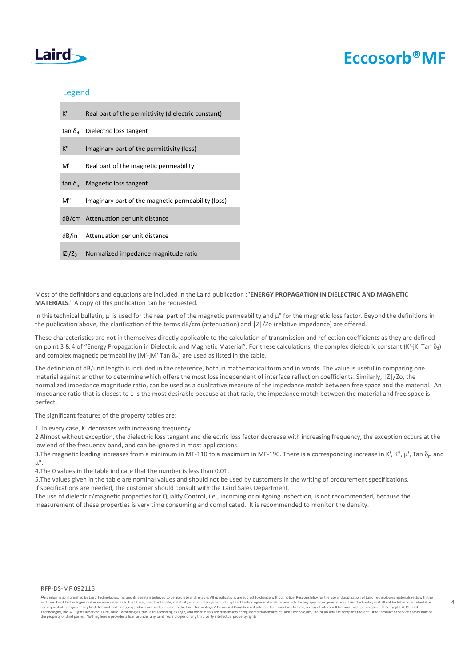## Laird

## Eccosorb®MF

### Legend

| K'        | Real part of the permittivity (dielectric constant) |
|-----------|-----------------------------------------------------|
|           | $tan \delta_d$ Dielectric loss tangent              |
| К"        | Imaginary part of the permittivity (loss)           |
| M'        | Real part of the magnetic permeability              |
|           | $\tan \delta_m$ Magnetic loss tangent               |
| м"        | Imaginary part of the magnetic permeability (loss)  |
|           | dB/cm Attenuation per unit distance                 |
|           | dB/in Attenuation per unit distance                 |
| $ Z /Z_0$ | Normalized impedance magnitude ratio                |

Most of the definitions and equations are included in the Laird publication :"ENERGY PROPAGATION IN DIELECTRIC AND MAGNETIC MATERIALS." A copy of this publication can be requested.

In this technical bulletin, μ' is used for the real part of the magnetic permeability and μ" for the magnetic loss factor. Beyond the definitions in the publication above, the clarification of the terms dB/cm (attenuation) and  $|Z|/Z$ o (relative impedance) are offered.

These characteristics are not in themselves directly applicable to the calculation of transmission and reflection coefficients as they are defined on point 3 & 4 of "Energy Propagation in Dielectric and Magnetic Material". For these calculations, the complex dielectric constant (K'-jK' Tan  $\delta_d$ ) and complex magnetic permeability (M'-jM' Tan  $\delta_m$ ) are used as listed in the table.

The definition of dB/unit length is included in the reference, both in mathematical form and in words. The value is useful in comparing one material against another to determine which offers the most loss independent of interface reflection coefficients. Similarly, |Z|/Zo, the normalized impedance magnitude ratio, can be used as a qualitative measure of the impedance match between free space and the material. An impedance ratio that is closest to 1 is the most desirable because at that ratio, the impedance match between the material and free space is perfect.

The significant features of the property tables are:

1. In every case, K' decreases with increasing frequency.

2 Almost without exception, the dielectric loss tangent and dielectric loss factor decrease with increasing frequency, the exception occurs at the low end of the frequency band, and can be ignored in most applications.

3. The magnetic loading increases from a minimum in MF-110 to a maximum in MF-190. There is a corresponding increase in K', K", μ', Tan δ<sub>m</sub> and μ".

4.The 0 values in the table indicate that the number is less than 0.01.

5.The values given in the table are nominal values and should not be used by customers in the writing of procurement specifications. If specifications are needed, the customer should consult with the Laird Sales Department.

The use of dielectric/magnetic properties for Quality Control, i.e., incoming or outgoing inspection, is not recommended, because the measurement of these properties is very time consuming and complicated. It is recommended to monitor the density.

#### RFP-DS-MF 092115

Any information furnished by Laird Technologies, Inc. and its agents is believed to be accurate and reliable. All specifications are subject to change without notice. Responsibility for the use and application of Laird Tec end user. Laird Technologies makes no warranties as to the fitness, merchantability, suitability or non- infringement of any Laird Technologies materials or products for any yaecific or general uses. Laird Technologies sha